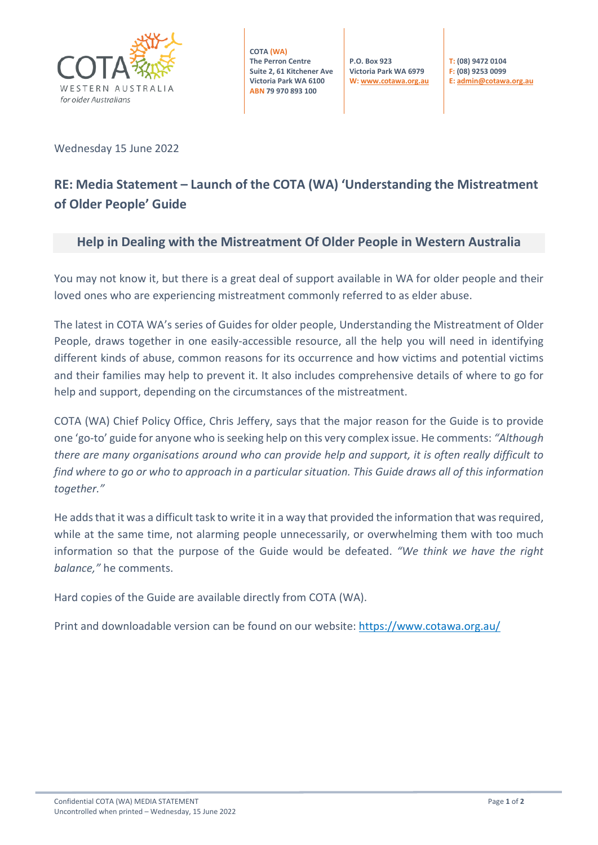

**COTA (WA) The Perron Centre Suite 2, 61 Kitchener Ave Victoria Park WA 6100 ABN 79 970 893 100**

**P.O. Box 923 Victoria Park WA 6979 W[: www.cotawa.org.au](http://www.cotawa.org.au/)** **T: (08) 9472 0104 F: (08) 9253 0099 E[: admin@cotawa.org.au](mailto:admin@cotawa.org.au)**

Wednesday 15 June 2022

# **RE: Media Statement – Launch of the COTA (WA) 'Understanding the Mistreatment of Older People' Guide**

### **Help in Dealing with the Mistreatment Of Older People in Western Australia**

You may not know it, but there is a great deal of support available in WA for older people and their loved ones who are experiencing mistreatment commonly referred to as elder abuse.

The latest in COTA WA's series of Guides for older people, Understanding the Mistreatment of Older People, draws together in one easily-accessible resource, all the help you will need in identifying different kinds of abuse, common reasons for its occurrence and how victims and potential victims and their families may help to prevent it. It also includes comprehensive details of where to go for help and support, depending on the circumstances of the mistreatment.

COTA (WA) Chief Policy Office, Chris Jeffery, says that the major reason for the Guide is to provide one 'go-to' guide for anyone who is seeking help on this very complex issue. He comments: *"Although there are many organisations around who can provide help and support, it is often really difficult to find where to go or who to approach in a particular situation. This Guide draws all of this information together."*

He adds that it was a difficult task to write it in a way that provided the information that was required, while at the same time, not alarming people unnecessarily, or overwhelming them with too much information so that the purpose of the Guide would be defeated. *"We think we have the right balance,"* he comments.

Hard copies of the Guide are available directly from COTA (WA).

Print and downloadable version can be found on our website:<https://www.cotawa.org.au/>